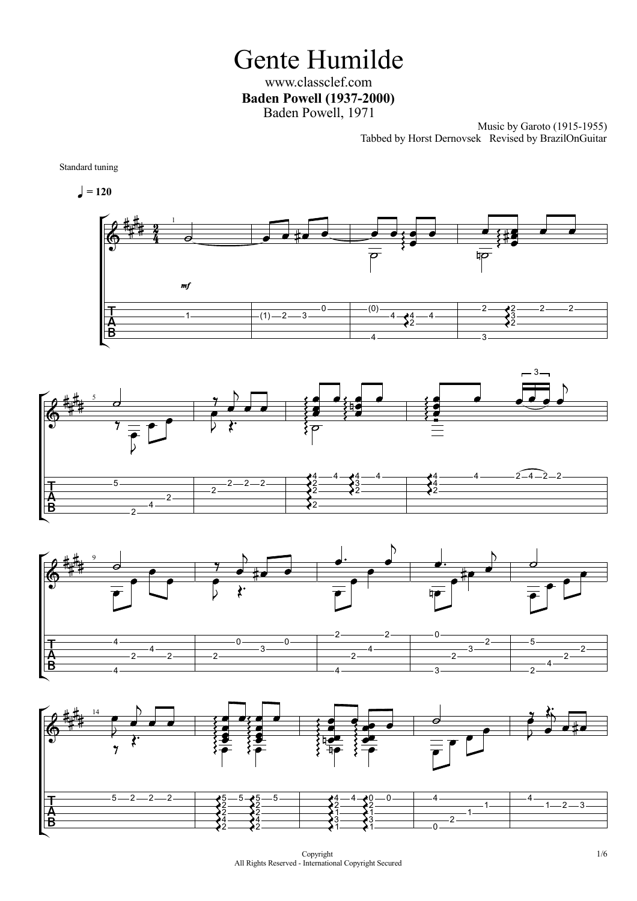Gente Humilde

www.classclef.com **Baden Powell (1937-2000)** Baden Powell, 1971

## Music by Garoto (1915-1955) Tabbed by Horst Dernovsek Revised by BrazilOnGuitar

Standard tuning











Copyright 1/6 All Rights Reserved - International Copyright Secured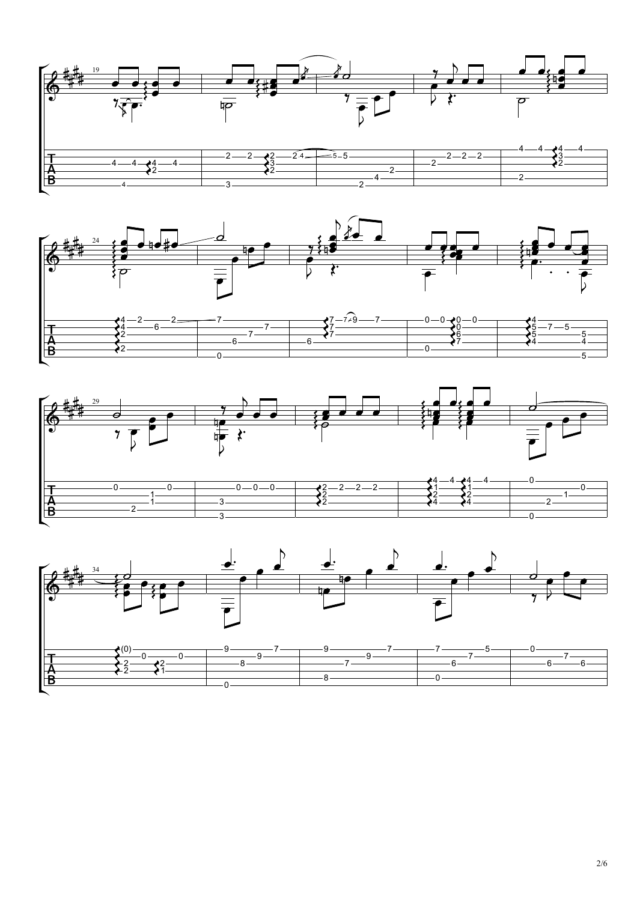





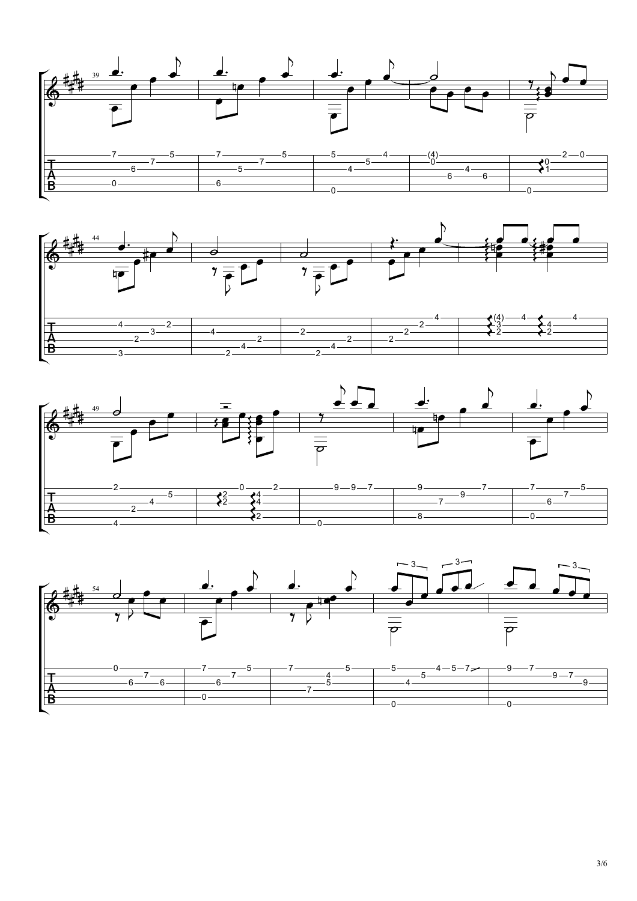





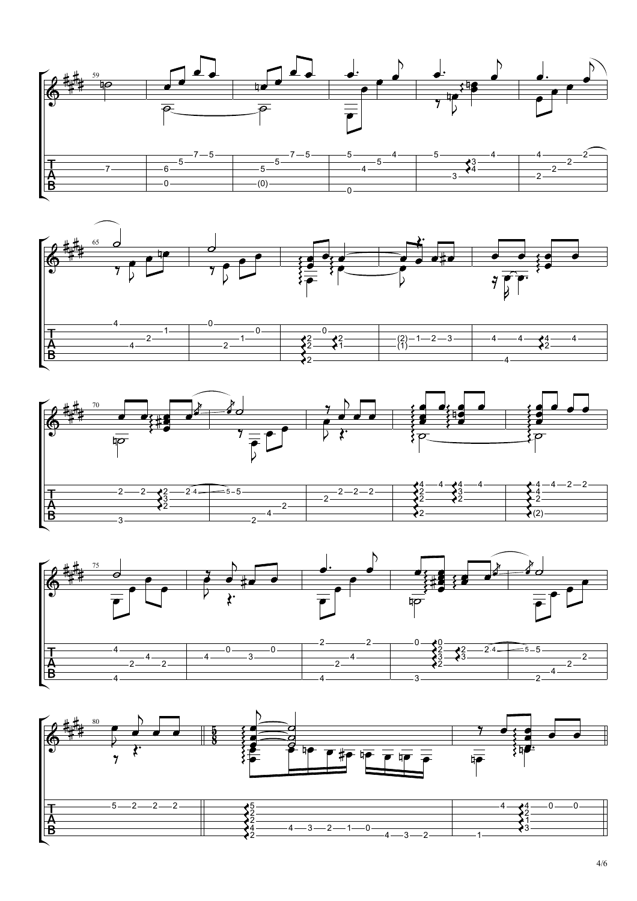







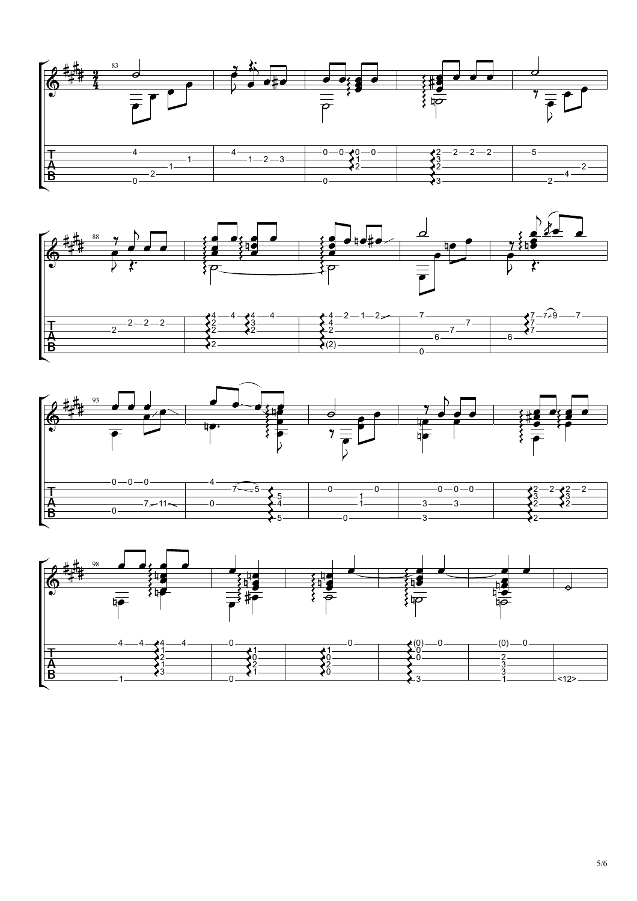